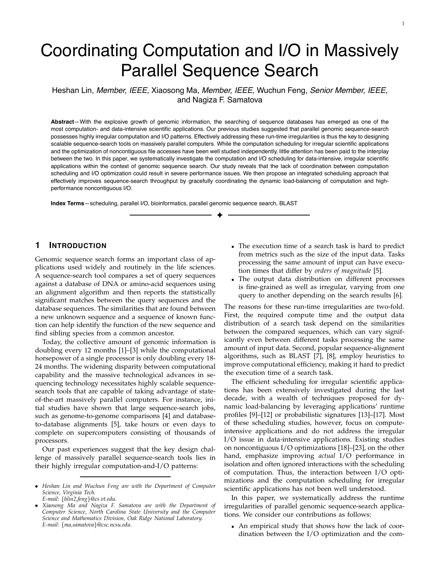# Coordinating Computation and I/O in Massively Parallel Sequence Search

Heshan Lin, *Member, IEEE,* Xiaosong Ma, *Member, IEEE,* Wuchun Feng, *Senior Member, IEEE,* and Nagiza F. Samatova

**Abstract**—With the explosive growth of genomic information, the searching of sequence databases has emerged as one of the most computation- and data-intensive scientific applications. Our previous studies suggested that parallel genomic sequence-search possesses highly irregular computation and I/O patterns. Effectively addressing these run-time irregularities is thus the key to designing scalable sequence-search tools on massively parallel computers. While the computation scheduling for irregular scientific applications and the optimization of noncontiguous file accesses have been well studied independently, little attention has been paid to the interplay between the two. In this paper, we systematically investigate the computation and I/O scheduling for data-intensive, irregular scientific applications within the context of genomic sequence search. Our study reveals that the lack of coordination between computation scheduling and I/O optimization could result in severe performance issues. We then propose an integrated scheduling approach that effectively improves sequence-search throughput by gracefully coordinating the dynamic load-balancing of computation and highperformance noncontiguous I/O.

 $\blacklozenge$ 

**Index Terms**—scheduling, parallel I/O, bioinformatics, parallel genomic sequence search, BLAST

#### **1 INTRODUCTION**

Genomic sequence search forms an important class of applications used widely and routinely in the life sciences. A sequence-search tool compares a set of query sequences against a database of DNA or amino-acid sequences using an alignment algorithm and then reports the statistically significant matches between the query sequences and the database sequences. The similarities that are found between a new unknown sequence and a sequence of known function can help identify the function of the new sequence and find sibling species from a common ancestor.

Today, the collective amount of genomic information is doubling every 12 months [1]–[3] while the computational horsepower of a single processor is only doubling every 18- 24 months. The widening disparity between computational capability and the massive technological advances in sequencing technology necessitates highly scalable sequencesearch tools that are capable of taking advantage of stateof-the-art massively parallel computers. For instance, initial studies have shown that large sequence-search jobs, such as genome-to-genome comparisons [4] and databaseto-database alignments [5], take hours or even days to complete on supercomputers consisting of thousands of processors.

Our past experiences suggest that the key design challenge of massively parallel sequence-search tools lies in their highly irregular computation-and-I/O patterns:

- The execution time of a search task is hard to predict from metrics such as the size of the input data. Tasks processing the same amount of input can have execution times that differ by *orders of magnitude* [5].
- The output data distribution on different processes is fine-grained as well as irregular, varying from one query to another depending on the search results [6].

The reasons for these run-time irregularities are two-fold. First, the required compute time and the output data distribution of a search task depend on the similarities between the compared sequences, which can vary significantly even between different tasks processing the same amount of input data. Second, popular sequence-alignment algorithms, such as BLAST [7], [8], employ heuristics to improve computational efficiency, making it hard to predict the execution time of a search task.

The efficient scheduling for irregular scientific applications has been extensively investigated during the last decade, with a wealth of techniques proposed for dynamic load-balancing by leveraging applications' runtime profiles [9]–[12] or probabilistic signatures [13]–[17]. Most of these scheduling studies, however, focus on computeintensive applications and do not address the irregular I/O issue in data-intensive applications. Existing studies on noncontiguous I/O optimizations [18]–[23], on the other hand, emphasize improving *actual* I/O performance in isolation and often ignored interactions with the scheduling of computation. Thus, the interaction between I/O optimizations and the computation scheduling for irregular scientific applications has not been well understood.

In this paper, we systematically address the runtime irregularities of parallel genomic sequence-search applications. We consider our contributions as follows:

• An empirical study that shows how the lack of coordination between the I/O optimization and the com-

<sup>•</sup> *Heshan Lin and Wuchun Feng are with the Department of Computer Science, Virginia Tech. E-mail:* {*hlin2,feng*}*@cs.vt.edu.*

<sup>•</sup> *Xiaosong Ma and Nagiza F. Samatova are with the Department of Computer Science, North Carolina State University and the Computer Science and Mathematics Division, Oak Ridge National Laboratory. E-mail:* {*ma,samatova*}*@csc.ncsu.edu.*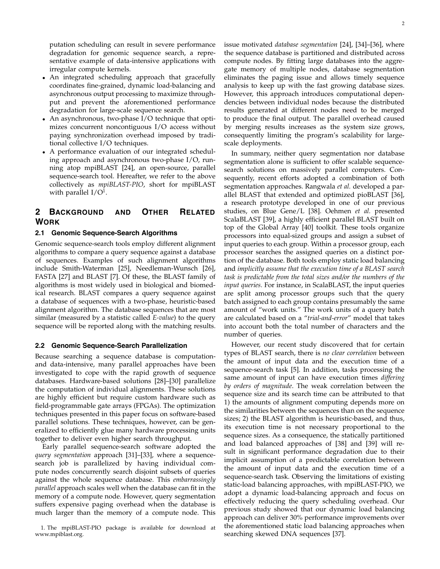putation scheduling can result in severe performance degradation for genomic sequence search, a representative example of data-intensive applications with irregular compute kernels.

- An integrated scheduling approach that gracefully coordinates fine-grained, dynamic load-balancing and asynchronous output processing to maximize throughput and prevent the aforementioned performance degradation for large-scale sequence search.
- An asynchronous, two-phase I/O technique that optimizes concurrent noncontiguous I/O access without paying synchronization overhead imposed by traditional collective I/O techniques.
- A performance evaluation of our integrated scheduling approach and asynchronous two-phase I/O, running atop mpiBLAST [24], an open-source, parallel sequence-search tool. Hereafter, we refer to the above collectively as *mpiBLAST-PIO*, short for mpiBLAST with parallel  $I/O<sup>1</sup>$ .

### **2 BACKGROUND AND OTHER RELATED WORK**

#### **2.1 Genomic Sequence-Search Algorithms**

Genomic sequence-search tools employ different alignment algorithms to compare a query sequence against a database of sequences. Examples of such alignment algorithms include Smith-Waterman [25], Needleman-Wunsch [26], FASTA [27] and BLAST [7]. Of these, the BLAST family of algorithms is most widely used in biological and biomedical research. BLAST compares a query sequence against a database of sequences with a two-phase, heuristic-based alignment algorithm. The database sequences that are most similar (measured by a statistic called *E-value*) to the query sequence will be reported along with the matching results.

#### **2.2 Genomic Sequence-Search Parallelization**

Because searching a sequence database is computationand data-intensive, many parallel approaches have been investigated to cope with the rapid growth of sequence databases. Hardware-based solutions [28]–[30] parallelize the computation of individual alignments. These solutions are highly efficient but require custom hardware such as field-programmable gate arrays (FPGAs). The optimization techniques presented in this paper focus on software-based parallel solutions. These techniques, however, can be generalized to efficiently glue many hardware processing units together to deliver even higher search throughput.

Early parallel sequence-search software adopted the *query segmentation* approach [31]–[33], where a sequencesearch job is parallelized by having individual compute nodes concurrently search disjoint subsets of queries against the whole sequence database. This *embarrassingly parallel* approach scales well when the database can fit in the memory of a compute node. However, query segmentation suffers expensive paging overhead when the database is much larger than the memory of a compute node. This issue motivated *database segmentation* [24], [34]–[36], where the sequence database is partitioned and distributed across compute nodes. By fitting large databases into the aggregate memory of multiple nodes, database segmentation eliminates the paging issue and allows timely sequence analysis to keep up with the fast growing database sizes. However, this approach introduces computational dependencies between individual nodes because the distributed results generated at different nodes need to be merged to produce the final output. The parallel overhead caused by merging results increases as the system size grows, consequently limiting the program's scalability for largescale deployments.

In summary, neither query segmentation nor database segmentation alone is sufficient to offer scalable sequencesearch solutions on massively parallel computers. Consequently, recent efforts adopted a combination of both segmentation approaches. Rangwala *et al.* developed a parallel BLAST that extended and optimized pioBLAST [36], a research prototype developed in one of our previous studies, on Blue Gene/L [38]. Oehmen *et al.* presented ScalaBLAST [39], a highly efficient parallel BLAST built on top of the Global Array [40] toolkit. These tools organize processors into equal-sized groups and assign a subset of input queries to each group. Within a processor group, each processor searches the assigned queries on a distinct portion of the database. Both tools employ static load balancing and *implicitly assume that the execution time of a BLAST search task is predictable from the total sizes and/or the numbers of the input queries.* For instance, in ScalaBLAST, the input queries are split among processor groups such that the query batch assigned to each group contains presumably the same amount of "work units." The work units of a query batch are calculated based on a "*trial-and-error*" model that takes into account both the total number of characters and the number of queries.

However, our recent study discovered that for certain types of BLAST search, there is *no clear correlation* between the amount of input data and the execution time of a sequence-search task [5]. In addition, tasks processing the same amount of input can have execution times *differing by orders of magnitude*. The weak correlation between the sequence size and its search time can be attributed to that 1) the amounts of alignment computing depends more on the similarities between the sequences than on the sequence sizes; 2) the BLAST algorithm is heuristic-based, and thus, its execution time is not necessary proportional to the sequence sizes. As a consequence, the statically partitioned and load balanced approaches of [38] and [39] will result in significant performance degradation due to their implicit assumption of a predictable correlation between the amount of input data and the execution time of a sequence-search task. Observing the limitations of existing static-load balancing approaches, with mpiBLAST-PIO, we adopt a dynamic load-balancing approach and focus on effectively reducing the query scheduling overhead. Our previous study showed that our dynamic load balancing approach can deliver 30% performance improvements over the aforementioned static load balancing approaches when searching skewed DNA sequences [37].

<sup>1.</sup> The mpiBLAST-PIO package is available for download at www.mpiblast.org.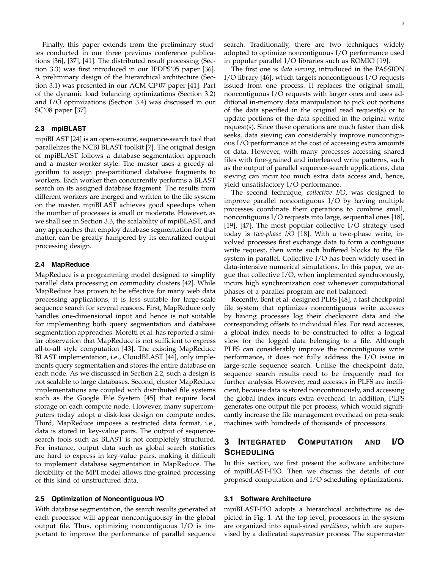Finally, this paper extends from the preliminary studies conducted in our three previous conference publications [36], [37], [41]. The distributed result processing (Section 3.3) was first introduced in our IPDPS'05 paper [36]. A preliminary design of the hierarchical architecture (Section 3.1) was presented in our ACM CF'07 paper [41]. Part of the dynamic load balancing optimizations (Section 3.2) and I/O optimizations (Section 3.4) was discussed in our SC'08 paper [37].

#### **2.3 mpiBLAST**

mpiBLAST [24] is an open-source, sequence-search tool that parallelizes the NCBI BLAST toolkit [7]. The original design of mpiBLAST follows a database segmentation approach and a master-worker style. The master uses a greedy algorithm to assign pre-partitioned database fragments to workers. Each worker then concurrently performs a BLAST search on its assigned database fragment. The results from different workers are merged and written to the file system on the master. mpiBLAST achieves good speedups when the number of processes is small or moderate. However, as we shall see in Section 3.3, the scalability of mpiBLAST, and any approaches that employ database segmentation for that matter, can be greatly hampered by its centralized output processing design.

#### **2.4 MapReduce**

MapReduce is a programming model designed to simplify parallel data processing on commodity clusters [42]. While MapReduce has proven to be effective for many web data processing applications, it is less suitable for large-scale sequence search for several reasons. First, MapReduce only handles one-dimensional input and hence is not suitable for implementing both query segmentation and database segmentation approaches. Moretti et al. has reported a similar observation that MapReduce is not sufficient to express all-to-all style computation [43]. The existing MapReduce BLAST implementation, i.e., CloudBLAST [44], only implements query segmentation and stores the entire database on each node. As we discussed in Section 2.2, such a design is not scalable to large databases. Second, cluster MapReduce implementations are coupled with distributed file systems such as the Google File System [45] that require local storage on each compute node. However, many supercomputers today adopt a disk-less design on compute nodes. Third, MapReduce imposes a restricted data format, i.e., data is stored in key-value pairs. The output of sequencesearch tools such as BLAST is not completely structured. For instance, output data such as global search statistics are hard to express in key-value pairs, making it difficult to implement database segmentation in MapReduce. The flexibility of the MPI model allows fine-grained processing of this kind of unstructured data.

#### **2.5 Optimization of Noncontiguous I/O**

With database segmentation, the search results generated at each processor will appear noncontiguously in the global output file. Thus, optimizing noncontiguous I/O is important to improve the performance of parallel sequence

The first one is *data sieving*, introduced in the PASSION I/O library [46], which targets noncontiguous I/O requests issued from one process. It replaces the original small, noncontiguous I/O requests with larger ones and uses additional in-memory data manipulation to pick out portions of the data specified in the original read request(s) or to update portions of the data specified in the original write request(s). Since these operations are much faster than disk seeks, data sieving can considerably improve noncontiguous I/O performance at the cost of accessing extra amounts of data. However, with many processes accessing shared files with fine-grained and interleaved write patterns, such as the output of parallel sequence-search applications, data sieving can incur too much extra data access and, hence, yield unsatisfactory I/O performance.

The second technique, *collective I/O*, was designed to improve parallel noncontiguous I/O by having multiple processes coordinate their operations to combine small, noncontiguous I/O requests into large, sequential ones [18], [19], [47]. The most popular collective I/O strategy used today is *two-phase I/O* [18]. With a two-phase write, involved processes first exchange data to form a contiguous write request, then write such buffered blocks to the file system in parallel. Collective I/O has been widely used in data-intensive numerical simulations. In this paper, we argue that collective I/O, when implemented synchronously, incurs high synchronization cost whenever computational phases of a parallel program are not balanced.

Recently, Bent et al. designed PLFS [48], a fast checkpoint file system that optimizes noncontiguous write accesses by having processes log their checkpoint data and the corresponding offsets to individual files. For read accesses, a global index needs to be constructed to offer a logical view for the logged data belonging to a file. Although PLFS can considerably improve the noncontiguous write performance, it does not fully address the I/O issue in large-scale sequence search. Unlike the checkpoint data, sequence search results need to be frequently read for further analysis. However, read accesses in PLFS are inefficient, because data is stored noncontinuously, and accessing the global index incurs extra overhead. In addition, PLFS generates one output file per process, which would significantly increase the file management overhead on peta-scale machines with hundreds of thousands of processors.

# **3 INTEGRATED COMPUTATION AND I/O SCHEDULING**

In this section, we first present the software architecture of mpiBLAST-PIO. Then we discuss the details of our proposed computation and I/O scheduling optimizations.

#### **3.1 Software Architecture**

mpiBLAST-PIO adopts a hierarchical architecture as depicted in Fig. 1. At the top level, processors in the system are organized into equal-sized *partitions*, which are supervised by a dedicated *supermaster* process. The supermaster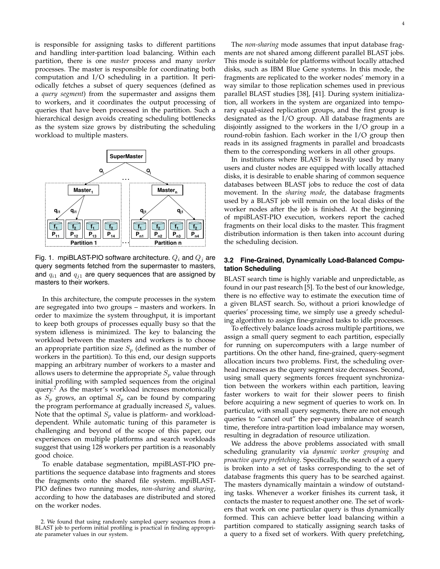is responsible for assigning tasks to different partitions and handling inter-partition load balancing. Within each partition, there is one *master* process and many *worker* processes. The master is responsible for coordinating both computation and I/O scheduling in a partition. It periodically fetches a subset of query sequences (defined as a *query segment*) from the supermaster and assigns them to workers, and it coordinates the output processing of queries that have been processed in the partition. Such a hierarchical design avoids creating scheduling bottlenecks as the system size grows by distributing the scheduling workload to multiple masters.



Fig. 1. mpiBLAST-PIO software architecture.  $Q_i$  and  $Q_j$  are query segments fetched from the supermaster to masters, and  $q_{i1}$  and  $q_{i1}$  are query sequences that are assigned by masters to their workers.

In this architecture, the compute processes in the system are segregated into two groups – masters and workers. In order to maximize the system throughput, it is important to keep both groups of processes equally busy so that the system idleness is minimized. The key to balancing the workload between the masters and workers is to choose an appropriate partition size  $S_p$  (defined as the number of workers in the partition). To this end, our design supports mapping an arbitrary number of workers to a master and allows users to determine the appropriate  $S_p$  value through initial profiling with sampled sequences from the original query.<sup>2</sup> As the master's workload increases monotonically as  $S_p$  grows, an optimal  $S_p$  can be found by comparing the program performance at gradually increased  $S_p$  values. Note that the optimal  $S_p$  value is platform- and workloaddependent. While automatic tuning of this parameter is challenging and beyond of the scope of this paper, our experiences on multiple platforms and search workloads suggest that using 128 workers per partition is a reasonably good choice.

To enable database segmentation, mpiBLAST-PIO prepartitions the sequence database into fragments and stores the fragments onto the shared file system. mpiBLAST-PIO defines two running modes, *non-sharing* and *sharing*, according to how the databases are distributed and stored on the worker nodes.

The *non-sharing* mode assumes that input database fragments are not shared among different parallel BLAST jobs. This mode is suitable for platforms without locally attached disks, such as IBM Blue Gene systems. In this mode, the fragments are replicated to the worker nodes' memory in a way similar to those replication schemes used in previous parallel BLAST studies [38], [41]. During system initialization, all workers in the system are organized into temporary equal-sized replication groups, and the first group is designated as the I/O group. All database fragments are disjointly assigned to the workers in the I/O group in a round-robin fashion. Each worker in the I/O group then reads in its assigned fragments in parallel and broadcasts them to the corresponding workers in all other groups.

In institutions where BLAST is heavily used by many users and cluster nodes are equipped with locally attached disks, it is desirable to enable sharing of common sequence databases between BLAST jobs to reduce the cost of data movement. In the *sharing mode*, the database fragments used by a BLAST job will remain on the local disks of the worker nodes after the job is finished. At the beginning of mpiBLAST-PIO execution, workers report the cached fragments on their local disks to the master. This fragment distribution information is then taken into account during the scheduling decision.

#### **3.2 Fine-Grained, Dynamically Load-Balanced Computation Scheduling**

BLAST search time is highly variable and unpredictable, as found in our past research [5]. To the best of our knowledge, there is no effective way to estimate the execution time of a given BLAST search. So, without a priori knowledge of queries' processing time, we simply use a greedy scheduling algorithm to assign fine-grained tasks to idle processes.

To effectively balance loads across multiple partitions, we assign a small query segment to each partition, especially for running on supercomputers with a large number of partitions. On the other hand, fine-grained, query-segment allocation incurs two problems. First, the scheduling overhead increases as the query segment size decreases. Second, using small query segments forces frequent synchronization between the workers within each partition, leaving faster workers to wait for their slower peers to finish before acquiring a new segment of queries to work on. In particular, with small query segments, there are not enough queries to "cancel out" the per-query imbalance of search time, therefore intra-partition load imbalance may worsen, resulting in degradation of resource utilization.

We address the above problems associated with small scheduling granularity via *dynamic worker grouping* and *proactive query prefetching*. Specifically, the search of a query is broken into a set of tasks corresponding to the set of database fragments this query has to be searched against. The masters dynamically maintain a window of outstanding tasks. Whenever a worker finishes its current task, it contacts the master to request another one. The set of workers that work on one particular query is thus dynamically formed. This can achieve better load balancing within a partition compared to statically assigning search tasks of a query to a fixed set of workers. With query prefetching,

<sup>2.</sup> We found that using randomly sampled query sequences from a BLAST job to perform initial profiling is practical in finding appropriate parameter values in our system.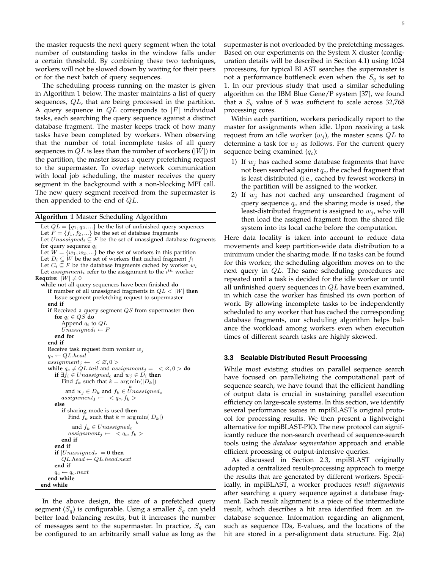the master requests the next query segment when the total number of outstanding tasks in the window falls under a certain threshold. By combining these two techniques, workers will not be slowed down by waiting for their peers or for the next batch of query sequences.

The scheduling process running on the master is given in Algorithm 1 below. The master maintains a list of query sequences,  $QL$ , that are being processed in the partition. A query sequence in  $QL$  corresponds to  $|F|$  individual tasks, each searching the query sequence against a distinct database fragment. The master keeps track of how many tasks have been completed by workers. When observing that the number of total incomplete tasks of all query sequences in  $QL$  is less than the number of workers ( $|W|$ ) in the partition, the master issues a query prefetching request to the supermaster. To overlap network communication with local job scheduling, the master receives the query segment in the background with a non-blocking MPI call. The new query segment received from the supermaster is then appended to the end of  $QL$ .

#### **Algorithm 1** Master Scheduling Algorithm

```
Let QL = \{q_1, q_2, ...\} be the list of unfinished query sequences
  Let F = \{f_1, f_2, ...\} be the set of database fragments
  Let Unassigned_i \subseteq F be the set of unassigned database fragments
  for query sequence q_iLet W = \{w_1, w_2, ...\} be the set of workers in this partition
  Let D_i \subseteq W be the set of workers that cached fragment f_iLet C_i \subseteq F be the database fragments cached by worker w_iLet assignment_i refer to the assignment to the i^{th} worker
Require: |W| \neq 0while not all query sequences have been finished do
     if number of all unassigned fragments in QL < |W| then
        Issue segment prefetching request to supermaster
     end if
     if Received a query segment QS from supermaster then
        for q_i \in QS do
           Append q_i to QLUnassigned_i \leftarrow Fend for
     end if
     Receive task request from worker w_jq_c \leftarrow QL.headassignment_i \leftarrow \langle \emptyset, 0 \ranglewhile q_c \neq \tilde{Q}L tail and assignment<sub>j</sub> = \langle \emptyset, 0 \rangle do
        if ∃f_i ∈ Unassigned<sub>c</sub> and w_j ∈ D_i then
           Find f_k such that k = \argmin_k(|D_k|)and w_j \in D_k and f_k \in \mathring{U}nassigned<sub>c</sub>
           assignment_j \leftarrow \langle q_c, f_k \rangleelse
           if sharing mode is used then
              Find f_k such that k = \argmin_k(|D_k|)and f_k \in Unassigned_cassignment_i \leftarrow \langle q_c, f_k \rangleend if
        end if
        if |Unassigned_c| = 0 then
           QL. head \leftarrow QL. head.nextend if
        q_c \leftarrow q_c.nextend while
  end while
```
In the above design, the size of a prefetched query segment  $(S_q)$  is configurable. Using a smaller  $S_q$  can yield better load balancing results, but it increases the number of messages sent to the supermaster. In practice,  $S_q$  can be configured to an arbitrarily small value as long as the

supermaster is not overloaded by the prefetching messages. Based on our experiments on the System X cluster (configuration details will be described in Section 4.1) using 1024 processors, for typical BLAST searches the supermaster is not a performance bottleneck even when the  $S_q$  is set to 1. In our previous study that used a similar scheduling algorithm on the IBM Blue Gene/P system [37], we found that a  $S_q$  value of 5 was sufficient to scale across 32,768 processing cores.

Within each partition, workers periodically report to the master for assignments when idle. Upon receiving a task request from an idle worker  $(w_i)$ , the master scans  $QL$  to determine a task for  $w_i$  as follows. For the current query sequence being examined  $(q_c)$ :

- 1) If  $w_j$  has cached some database fragments that have not been searched against  $q_c$ , the cached fragment that is least distributed (i.e., cached by fewest workers) in the partition will be assigned to the worker.
- 2) If  $w_i$  has not cached any unsearched fragment of query sequence  $q_c$  and the sharing mode is used, the least-distributed fragment is assigned to  $w_j$ , who will then load the assigned fragment from the shared file system into its local cache before the computation.

Here data locality is taken into account to reduce data movements and keep partition-wide data distribution to a minimum under the sharing mode. If no tasks can be found for this worker, the scheduling algorithm moves on to the next query in  $QL$ . The same scheduling procedures are repeated until a task is decided for the idle worker or until all unfinished query sequences in  $QL$  have been examined, in which case the worker has finished its own portion of work. By allowing incomplete tasks to be independently scheduled to any worker that has cached the corresponding database fragments, our scheduling algorithm helps balance the workload among workers even when execution times of different search tasks are highly skewed.

#### **3.3 Scalable Distributed Result Processing**

While most existing studies on parallel sequence search have focused on parallelizing the computational part of sequence search, we have found that the efficient handling of output data is crucial in sustaining parallel execution efficiency on large-scale systems. In this section, we identify several performance issues in mpiBLAST's original protocol for processing results. We then present a lightweight alternative for mpiBLAST-PIO. The new protocol can significantly reduce the non-search overhead of sequence-search tools using the *database segmentation* approach and enable efficient processing of output-intensive queries.

As discussed in Section 2.3, mpiBLAST originally adopted a centralized result-processing approach to merge the results that are generated by different workers. Specifically, in mpiBLAST, a worker produces *result alignments* after searching a query sequence against a database fragment. Each result alignment is a piece of the intermediate result, which describes a hit area identified from an indatabase sequence. Information regarding an alignment, such as sequence IDs, E-values, and the locations of the hit are stored in a per-alignment data structure. Fig. 2(a)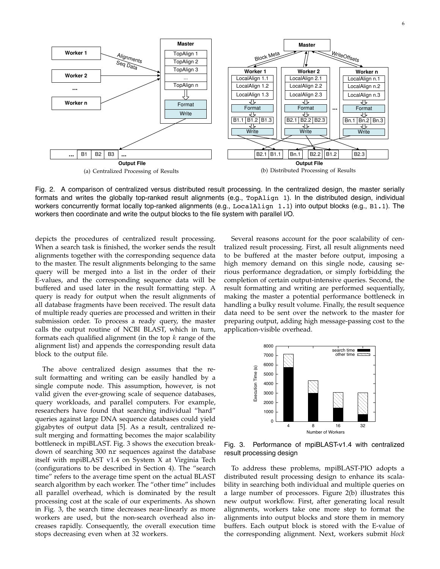

Fig. 2. A comparison of centralized versus distributed result processing. In the centralized design, the master serially formats and writes the globally top-ranked result alignments (e.g., TopAlign 1). In the distributed design, individual workers concurrently format locally top-ranked alignments (e.g., LocalAlign 1.1) into output blocks (e.g., B1.1). The workers then coordinate and write the output blocks to the file system with parallel I/O.

depicts the procedures of centralized result processing. When a search task is finished, the worker sends the result alignments together with the corresponding sequence data to the master. The result alignments belonging to the same query will be merged into a list in the order of their E-values, and the corresponding sequence data will be buffered and used later in the result formatting step. A query is ready for output when the result alignments of all database fragments have been received. The result data of multiple ready queries are processed and written in their submission order. To process a ready query, the master calls the output routine of NCBI BLAST, which in turn, formats each qualified alignment (in the top  $k$  range of the alignment list) and appends the corresponding result data block to the output file.

The above centralized design assumes that the result formatting and writing can be easily handled by a single compute node. This assumption, however, is not valid given the ever-growing scale of sequence databases, query workloads, and parallel computers. For example, researchers have found that searching individual "hard" queries against large DNA sequence databases could yield gigabytes of output data [5]. As a result, centralized result merging and formatting becomes the major scalability bottleneck in mpiBLAST. Fig. 3 shows the execution breakdown of searching 300 nr sequences against the database itself with mpiBLAST v1.4 on System X at Virginia Tech (configurations to be described in Section 4). The "search time" refers to the average time spent on the actual BLAST search algorithm by each worker. The "other time" includes all parallel overhead, which is dominated by the result processing cost at the scale of our experiments. As shown in Fig. 3, the search time decreases near-linearly as more workers are used, but the non-search overhead also increases rapidly. Consequently, the overall execution time stops decreasing even when at 32 workers.

Several reasons account for the poor scalability of centralized result processing. First, all result alignments need to be buffered at the master before output, imposing a high memory demand on this single node, causing serious performance degradation, or simply forbidding the completion of certain output-intensive queries. Second, the result formatting and writing are performed sequentially, making the master a potential performance bottleneck in handling a bulky result volume. Finally, the result sequence data need to be sent over the network to the master for preparing output, adding high message-passing cost to the application-visible overhead.



Fig. 3. Performance of mpiBLAST-v1.4 with centralized result processing design

To address these problems, mpiBLAST-PIO adopts a distributed result processing design to enhance its scalability in searching both individual and multiple queries on a large number of processors. Figure 2(b) illustrates this new output workflow. First, after generating local result alignments, workers take one more step to format the alignments into output blocks and store them in memory buffers. Each output block is stored with the E-value of the corresponding alignment. Next, workers submit *block*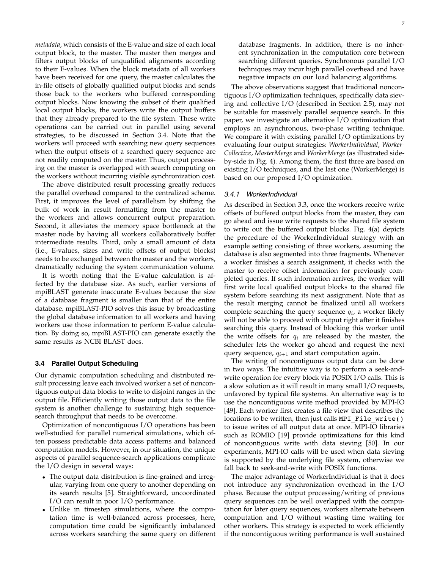*metadata*, which consists of the E-value and size of each local output block, to the master. The master then merges and filters output blocks of unqualified alignments according to their E-values. When the block metadata of all workers have been received for one query, the master calculates the in-file offsets of globally qualified output blocks and sends those back to the workers who buffered corresponding output blocks. Now knowing the subset of their qualified local output blocks, the workers write the output buffers that they already prepared to the file system. These write operations can be carried out in parallel using several strategies, to be discussed in Section 3.4. Note that the workers will proceed with searching new query sequences when the output offsets of a searched query sequence are not readily computed on the master. Thus, output processing on the master is overlapped with search computing on the workers without incurring visible synchronization cost.

The above distributed result processing greatly reduces the parallel overhead compared to the centralized scheme. First, it improves the level of parallelism by shifting the bulk of work in result formatting from the master to the workers and allows concurrent output preparation. Second, it alleviates the memory space bottleneck at the master node by having all workers collaboratively buffer intermediate results. Third, only a small amount of data (i.e., E-values, sizes and write offsets of output blocks) needs to be exchanged between the master and the workers, dramatically reducing the system communication volume.

It is worth noting that the E-value calculation is affected by the database size. As such, earlier versions of mpiBLAST generate inaccurate E-values because the size of a database fragment is smaller than that of the entire database. mpiBLAST-PIO solves this issue by broadcasting the global database information to all workers and having workers use those information to perform E-value calculation. By doing so, mpiBLAST-PIO can generate exactly the same results as NCBI BLAST does.

#### **3.4 Parallel Output Scheduling**

Our dynamic computation scheduling and distributed result processing leave each involved worker a set of noncontiguous output data blocks to write to disjoint ranges in the output file. Efficiently writing those output data to the file system is another challenge to sustaining high sequencesearch throughput that needs to be overcome.

Optimization of noncontiguous I/O operations has been well-studied for parallel numerical simulations, which often possess predictable data access patterns and balanced computation models. However, in our situation, the unique aspects of parallel sequence-search applications complicate the I/O design in several ways:

- The output data distribution is fine-grained and irregular, varying from one query to another depending on its search results [5]. Straightforward, uncoordinated I/O can result in poor I/O performance.
- Unlike in timestep simulations, where the computation time is well-balanced across processes, here, computation time could be significantly imbalanced across workers searching the same query on different

database fragments. In addition, there is no inherent synchronization in the computation core between searching different queries. Synchronous parallel I/O techniques may incur high parallel overhead and have negative impacts on our load balancing algorithms.

The above observations suggest that traditional noncontiguous I/O optimization techniques, specifically data sieving and collective I/O (described in Section 2.5), may not be suitable for massively parallel sequence search. In this paper, we investigate an alternative I/O optimization that employs an asynchronous, two-phase writing technique. We compare it with existing parallel I/O optimizations by evaluating four output strategies: *WorkerIndividual*, *Worker-Collective*, *MasterMerge* and *WorkerMerge* (as illustrated sideby-side in Fig. 4). Among them, the first three are based on existing I/O techniques, and the last one (WorkerMerge) is based on our proposed I/O optimization.

#### *3.4.1 WorkerIndividual*

As described in Section 3.3, once the workers receive write offsets of buffered output blocks from the master, they can go ahead and issue write requests to the shared file system to write out the buffered output blocks. Fig. 4(a) depicts the procedure of the WorkerIndividual strategy with an example setting consisting of three workers, assuming the database is also segmented into three fragments. Whenever a worker finishes a search assignment, it checks with the master to receive offset information for previously completed queries. If such information arrives, the worker will first write local qualified output blocks to the shared file system before searching its next assignment. Note that as the result merging cannot be finalized until all workers complete searching the query sequence  $q_i$ , a worker likely will not be able to proceed with output right after it finishes searching this query. Instead of blocking this worker until the write offsets for  $q_i$  are released by the master, the scheduler lets the worker go ahead and request the next query sequence,  $q_{i+1}$  and start computation again.

The writing of noncontiguous output data can be done in two ways. The intuitive way is to perform a seek-andwrite operation for every block via POSIX I/O calls. This is a slow solution as it will result in many small I/O requests, unfavored by typical file systems. An alternative way is to use the noncontiguous write method provided by MPI-IO [49]. Each worker first creates a file view that describes the locations to be written, then just calls MPI File write() to issue writes of all output data at once. MPI-IO libraries such as ROMIO [19] provide optimizations for this kind of noncontiguous write with data sieving [50]. In our experiments, MPI-IO calls will be used when data sieving is supported by the underlying file system, otherwise we fall back to seek-and-write with POSIX functions.

The major advantage of WorkerIndividual is that it does not introduce any synchronization overhead in the I/O phase. Because the output processing/writing of previous query sequences can be well overlapped with the computation for later query sequences, workers alternate between computation and I/O without wasting time waiting for other workers. This strategy is expected to work efficiently if the noncontiguous writing performance is well sustained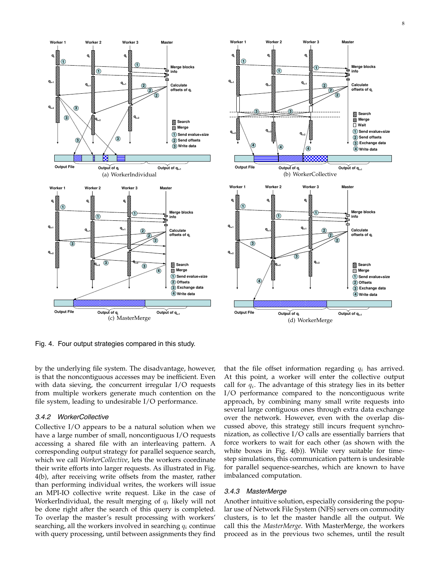

Fig. 4. Four output strategies compared in this study.

by the underlying file system. The disadvantage, however, is that the noncontiguous accesses may be inefficient. Even with data sieving, the concurrent irregular I/O requests from multiple workers generate much contention on the file system, leading to undesirable I/O performance.

#### *3.4.2 WorkerCollective*

Collective I/O appears to be a natural solution when we have a large number of small, noncontiguous I/O requests accessing a shared file with an interleaving pattern. A corresponding output strategy for parallel sequence search, which we call *WorkerCollective*, lets the workers coordinate their write efforts into larger requests. As illustrated in Fig. 4(b), after receiving write offsets from the master, rather than performing individual writes, the workers will issue an MPI-IO collective write request. Like in the case of WorkerIndividual, the result merging of  $q_i$  likely will not be done right after the search of this query is completed. To overlap the master's result processing with workers' searching, all the workers involved in searching  $q_i$  continue with query processing, until between assignments they find

that the file offset information regarding  $q_i$  has arrived. At this point, a worker will enter the collective output call for  $q_i$ . The advantage of this strategy lies in its better I/O performance compared to the noncontiguous write approach, by combining many small write requests into several large contiguous ones through extra data exchange over the network. However, even with the overlap discussed above, this strategy still incurs frequent synchronization, as collective I/O calls are essentially barriers that force workers to wait for each other (as shown with the white boxes in Fig. 4(b)). While very suitable for timestep simulations, this communication pattern is undesirable for parallel sequence-searches, which are known to have imbalanced computation.

#### *3.4.3 MasterMerge*

Another intuitive solution, especially considering the popular use of Network File System (NFS) servers on commodity clusters, is to let the master handle all the output. We call this the *MasterMerge*. With MasterMerge, the workers proceed as in the previous two schemes, until the result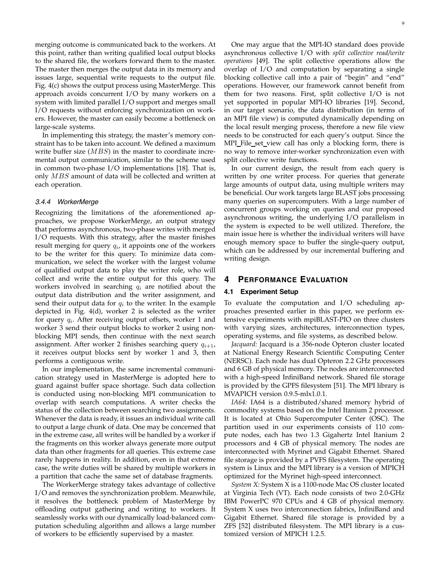merging outcome is communicated back to the workers. At this point, rather than writing qualified local output blocks to the shared file, the workers forward them to the master. The master then merges the output data in its memory and issues large, sequential write requests to the output file. Fig. 4(c) shows the output process using MasterMerge. This approach avoids concurrent I/O by many workers on a system with limited parallel I/O support and merges small I/O requests without enforcing synchronization on workers. However, the master can easily become a bottleneck on large-scale systems.

In implementing this strategy, the master's memory constraint has to be taken into account. We defined a maximum write buffer size  $(MBS)$  in the master to coordinate incremental output communication, similar to the scheme used in common two-phase I/O implementations [18]. That is, only MBS amount of data will be collected and written at each operation.

#### *3.4.4 WorkerMerge*

Recognizing the limitations of the aforementioned approaches, we propose WorkerMerge, an output strategy that performs asynchronous, two-phase writes with merged I/O requests. With this strategy, after the master finishes result merging for query  $q_i$ , it appoints one of the workers to be the writer for this query. To minimize data communication, we select the worker with the largest volume of qualified output data to play the writer role, who will collect and write the entire output for this query. The workers involved in searching  $q_i$  are notified about the output data distribution and the writer assignment, and send their output data for  $q_i$  to the writer. In the example depicted in Fig. 4(d), worker 2 is selected as the writer for query  $q_i$ . After receiving output offsets, worker 1 and worker 3 send their output blocks to worker 2 using nonblocking MPI sends, then continue with the next search assignment. After worker 2 finishes searching query  $q_{i+1}$ , it receives output blocks sent by worker 1 and 3, then performs a contiguous write.

In our implementation, the same incremental communication strategy used in MasterMerge is adopted here to guard against buffer space shortage. Such data collection is conducted using non-blocking MPI communication to overlap with search computations. A writer checks the status of the collection between searching two assignments. Whenever the data is ready, it issues an individual write call to output a large chunk of data. One may be concerned that in the extreme case, all writes will be handled by a worker if the fragments on this worker always generate more output data than other fragments for all queries. This extreme case rarely happens in reality. In addition, even in that extreme case, the write duties will be shared by multiple workers in a partition that cache the same set of database fragments.

The WorkerMerge strategy takes advantage of collective I/O and removes the synchronization problem. Meanwhile, it resolves the bottleneck problem of MasterMerge by offloading output gathering and writing to workers. It seamlessly works with our dynamically load-balanced computation scheduling algorithm and allows a large number of workers to be efficiently supervised by a master.

One may argue that the MPI-IO standard does provide asynchronous collective I/O with *split collective read/write operations* [49]. The split collective operations allow the overlap of I/O and computation by separating a single blocking collective call into a pair of "begin" and "end" operations. However, our framework cannot benefit from them for two reasons. First, split collective I/O is not yet supported in popular MPI-IO libraries [19]. Second, in our target scenario, the data distribution (in terms of an MPI file view) is computed dynamically depending on the local result merging process, therefore a new file view needs to be constructed for each query's output. Since the MPI File set view call has only a blocking form, there is no way to remove inter-worker synchronization even with split collective write functions.

In our current design, the result from each query is written by one writer process. For queries that generate large amounts of output data, using multiple writers may be beneficial. Our work targets large BLAST jobs processing many queries on supercomputers. With a large number of concurrent groups working on queries and our proposed asynchronous writing, the underlying I/O parallelism in the system is expected to be well utilized. Therefore, the main issue here is whether the individual writers will have enough memory space to buffer the single-query output, which can be addressed by our incremental buffering and writing design.

#### **4 PERFORMANCE EVALUATION**

#### **4.1 Experiment Setup**

To evaluate the computation and I/O scheduling approaches presented earlier in this paper, we perform extensive experiments with mpiBLAST-PIO on three clusters with varying sizes, architectures, interconnection types, operating systems, and file systems, as described below.

*Jacquard:* Jacquard is a 356-node Opteron cluster located at National Energy Research Scientific Computing Center (NERSC). Each node has dual Opteron 2.2 GHz processors and 6 GB of physical memory. The nodes are interconnected with a high-speed InfiniBand network. Shared file storage is provided by the GPFS filesystem [51]. The MPI library is MVAPICH version 0.9.5-mlx1.0.1.

*IA64:* IA64 is a distributed/shared memory hybrid of commodity systems based on the Intel Itanium 2 processor. It is located at Ohio Supercomputer Center (OSC). The partition used in our experiments consists of 110 compute nodes, each has two 1.3 Gigahertz Intel Itanium 2 processors and 4 GB of physical memory. The nodes are interconnected with Myrinet and Gigabit Ethernet. Shared file storage is provided by a PVFS filesystem. The operating system is Linux and the MPI library is a version of MPICH optimized for the Myrinet high-speed interconnect.

*System X:* System X is a 1100-node Mac OS cluster located at Virginia Tech (VT). Each node consists of two 2.0-GHz IBM PowerPC 970 CPUs and 4 GB of physical memory. System X uses two interconnection fabrics, InfiniBand and Gigabit Ethernet. Shared file storage is provided by a ZFS [52] distributed filesystem. The MPI library is a customized version of MPICH 1.2.5.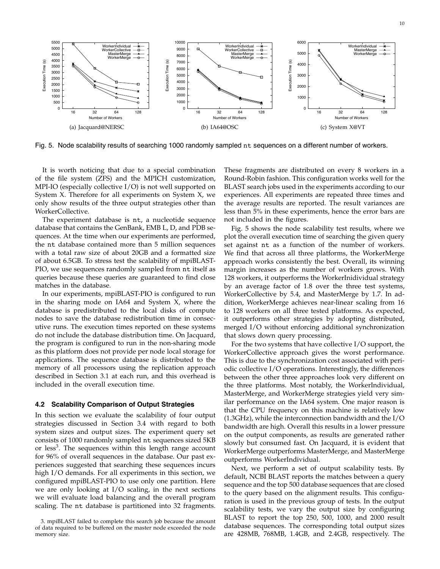

Fig. 5. Node scalability results of searching 1000 randomly sampled nt sequences on a different number of workers.

It is worth noticing that due to a special combination of the file system (ZFS) and the MPICH customization, MPI-IO (especially collective I/O) is not well supported on System X. Therefore for all experiments on System X, we only show results of the three output strategies other than WorkerCollective.

The experiment database is nt, a nucleotide sequence database that contains the GenBank, EMB L, D, and PDB sequences. At the time when our experiments are performed, the nt database contained more than 5 million sequences with a total raw size of about 20GB and a formatted size of about 6.5GB. To stress test the scalability of mpiBLAST-PIO, we use sequences randomly sampled from nt itself as queries because these queries are guaranteed to find close matches in the database.

In our experiments, mpiBLAST-PIO is configured to run in the sharing mode on IA64 and System X, where the database is predistributed to the local disks of compute nodes to save the database redistribution time in consecutive runs. The execution times reported on these systems do not include the database distribution time. On Jacquard, the program is configured to run in the non-sharing mode as this platform does not provide per node local storage for applications. The sequence database is distributed to the memory of all processors using the replication approach described in Section 3.1 at each run, and this overhead is included in the overall execution time.

#### **4.2 Scalability Comparison of Output Strategies**

In this section we evaluate the scalability of four output strategies discussed in Section 3.4 with regard to both system sizes and output sizes. The experiment query set consists of 1000 randomly sampled nt sequences sized 5KB or less<sup>3</sup>. The sequences within this length range account for 96% of overall sequences in the database. Our past experiences suggested that searching these sequences incurs high I/O demands. For all experiments in this section, we configured mpiBLAST-PIO to use only one partition. Here we are only looking at I/O scaling, in the next sections we will evaluate load balancing and the overall program scaling. The nt database is partitioned into 32 fragments.

These fragments are distributed on every 8 workers in a Round-Robin fashion. This configuration works well for the BLAST search jobs used in the experiments according to our experiences. All experiments are repeated three times and the average results are reported. The result variances are less than 5% in these experiments, hence the error bars are not included in the figures.

Fig. 5 shows the node scalability test results, where we plot the overall execution time of searching the given query set against nt as a function of the number of workers. We find that across all three platforms, the WorkerMerge approach works consistently the best. Overall, its winning margin increases as the number of workers grows. With 128 workers, it outperforms the WorkerInidividual strategy by an average factor of 1.8 over the three test systems, WorkerCollective by 5.4, and MasterMerge by 1.7. In addition, WorkerMerge achieves near-linear scaling from 16 to 128 workers on all three tested platforms. As expected, it outperforms other strategies by adopting distributed, merged I/O without enforcing additional synchronization that slows down query processing.

For the two systems that have collective I/O support, the WorkerCollective approach gives the worst performance. This is due to the synchronization cost associated with periodic collective I/O operations. Interestingly, the differences between the other three approaches look very different on the three platforms. Most notably, the WorkerIndividual, MasterMerge, and WorkerMerge strategies yield very similar performance on the IA64 system. One major reason is that the CPU frequency on this machine is relatively low (1.3GHz), while the interconnection bandwidth and the I/O bandwidth are high. Overall this results in a lower pressure on the output components, as results are generated rather slowly but consumed fast. On Jacquard, it is evident that WorkerMerge outperforms MasterMerge, and MasterMerge outperforms WorkerIndividual.

Next, we perform a set of output scalability tests. By default, NCBI BLAST reports the matches between a query sequence and the top 500 database sequences that are closed to the query based on the alignment results. This configuration is used in the previous group of tests. In the output scalability tests, we vary the output size by configuring BLAST to report the top 250, 500, 1000, and 2000 result database sequences. The corresponding total output sizes are 428MB, 768MB, 1.4GB, and 2.4GB, respectively. The

<sup>3.</sup> mpiBLAST failed to complete this search job because the amount of data required to be buffered on the master node exceeded the node memory size.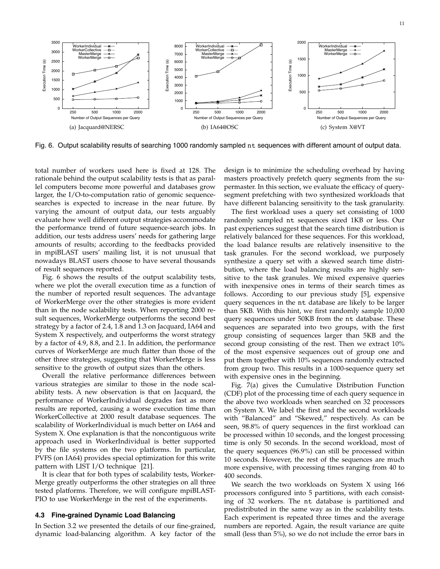

Fig. 6. Output scalability results of searching 1000 randomly sampled nt sequences with different amount of output data.

total number of workers used here is fixed at 128. The rationale behind the output scalability tests is that as parallel computers become more powerful and databases grow larger, the I/O-to-computation ratio of genomic sequencesearches is expected to increase in the near future. By varying the amount of output data, our tests arguably evaluate how well different output strategies accommodate the performance trend of future sequence-search jobs. In addition, our tests address users' needs for gathering large amounts of results; according to the feedbacks provided in mpiBLAST users' mailing list, it is not unusual that nowadays BLAST users choose to have several thousands of result sequences reported.

Fig. 6 shows the results of the output scalability tests, where we plot the overall execution time as a function of the number of reported result sequences. The advantage of WorkerMerge over the other strategies is more evident than in the node scalability tests. When reporting 2000 result sequences, WorkerMerge outperforms the second best strategy by a factor of 2.4, 1.8 and 1.3 on Jacquard, IA64 and System X respectively, and outperforms the worst strategy by a factor of 4.9, 8.8, and 2.1. In addition, the performance curves of WorkerMerge are much flatter than those of the other three strategies, suggesting that WorkerMerge is less sensitive to the growth of output sizes than the others.

Overall the relative performance differences between various strategies are similar to those in the node scalability tests. A new observation is that on Jacquard, the performance of WorkerIndividual degrades fast as more results are reported, causing a worse execution time than WorkerCollective at 2000 result database sequences. The scalability of WorkerIndividual is much better on IA64 and System X. One explanation is that the noncontiguous write approach used in WorkerIndividual is better supported by the file systems on the two platforms. In particular, PVFS (on IA64) provides special optimization for this write pattern with LIST I/O technique [21].

It is clear that for both types of scalability tests, Worker-Merge greatly outperforms the other strategies on all three tested platforms. Therefore, we will configure mpiBLAST-PIO to use WorkerMerge in the rest of the experiments.

#### **4.3 Fine-grained Dynamic Load Balancing**

In Section 3.2 we presented the details of our fine-grained, dynamic load-balancing algorithm. A key factor of the design is to minimize the scheduling overhead by having masters proactively prefetch query segments from the supermaster. In this section, we evaluate the efficacy of querysegment prefetching with two synthesized workloads that have different balancing sensitivity to the task granularity.

The first workload uses a query set consisting of 1000 randomly sampled nt sequences sized 1KB or less. Our past experiences suggest that the search time distribution is relatively balanced for these sequences. For this workload, the load balance results are relatively insensitive to the task granules. For the second workload, we purposely synthesize a query set with a skewed search time distribution, where the load balancing results are highly sensitive to the task granules. We mixed expensive queries with inexpensive ones in terms of their search times as follows. According to our previous study [5], expensive query sequences in the nt database are likely to be larger than 5KB. With this hint, we first randomly sample 10,000 query sequences under 50KB from the nt database. These sequences are separated into two groups, with the first group consisting of sequences larger than 5KB and the second group consisting of the rest. Then we extract 10% of the most expensive sequences out of group one and put them together with 10% sequences randomly extracted from group two. This results in a 1000-sequence query set with expensive ones in the beginning.

Fig. 7(a) gives the Cumulative Distribution Function (CDF) plot of the processing time of each query sequence in the above two workloads when searched on 32 processors on System X. We label the first and the second workloads with "Balanced" and "Skewed," respectively. As can be seen, 98.8% of query sequences in the first workload can be processed within 10 seconds, and the longest processing time is only 50 seconds. In the second workload, most of the query sequences (96.9%) can still be processed within 10 seconds. However, the rest of the sequences are much more expensive, with processing times ranging from 40 to 400 seconds.

We search the two workloads on System X using 166 processors configured into 5 partitions, with each consisting of 32 workers. The nt database is partitioned and predistributed in the same way as in the scalability tests. Each experiment is repeated three times and the average numbers are reported. Again, the result variance are quite small (less than 5%), so we do not include the error bars in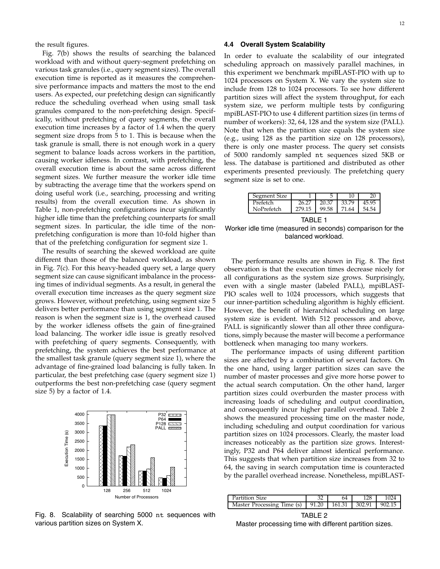the result figures.

Fig. 7(b) shows the results of searching the balanced workload with and without query-segment prefetching on various task granules (i.e., query segment sizes). The overall execution time is reported as it measures the comprehensive performance impacts and matters the most to the end users. As expected, our prefetching design can significantly reduce the scheduling overhead when using small task granules compared to the non-prefetching design. Specifically, without prefetching of query segments, the overall execution time increases by a factor of 1.4 when the query segment size drops from 5 to 1. This is because when the task granule is small, there is not enough work in a query segment to balance loads across workers in the partition, causing worker idleness. In contrast, with prefetching, the overall execution time is about the same across different segment sizes. We further measure the worker idle time by subtracting the average time that the workers spend on doing useful work (i.e., searching, processing and writing results) from the overall execution time. As shown in Table 1, non-prefetching configurations incur significantly higher idle time than the prefetching counterparts for small segment sizes. In particular, the idle time of the nonprefetching configuration is more than 10-fold higher than that of the prefetching configuration for segment size 1.

The results of searching the skewed workload are quite different than those of the balanced workload, as shown in Fig. 7(c). For this heavy-headed query set, a large query segment size can cause significant imbalance in the processing times of individual segments. As a result, in general the overall execution time increases as the query segment size grows. However, without prefetching, using segment size 5 delivers better performance than using segment size 1. The reason is when the segment size is 1, the overhead caused by the worker idleness offsets the gain of fine-grained load balancing. The worker idle issue is greatly resolved with prefetching of query segments. Consequently, with prefetching, the system achieves the best performance at the smallest task granule (query segment size 1), where the advantage of fine-grained load balancing is fully taken. In particular, the best prefetching case (query segment size 1) outperforms the best non-prefetching case (query segment size 5) by a factor of 1.4.



Fig. 8. Scalability of searching 5000 nt sequences with various partition sizes on System X.

#### **4.4 Overall System Scalability**

In order to evaluate the scalability of our integrated scheduling approach on massively parallel machines, in this experiment we benchmark mpiBLAST-PIO with up to 1024 processors on System X. We vary the system size to include from 128 to 1024 processors. To see how different partition sizes will affect the system throughput, for each system size, we perform multiple tests by configuring mpiBLAST-PIO to use 4 different partition sizes (in terms of number of workers): 32, 64, 128 and the system size (PALL). Note that when the partition size equals the system size (e.g., using 128 as the partition size on 128 processors), there is only one master process. The query set consists of 5000 randomly sampled nt sequences sized 5KB or less. The database is partitioned and distributed as other experiments presented previously. The prefetching query segment size is set to one.

| Segment Size      |       |     |       |
|-------------------|-------|-----|-------|
| Prefetch          | 20.37 |     | 45.95 |
| <b>NoPrefetch</b> |       | -64 |       |

TABLE 1 Worker idle time (measured in seconds) comparison for the balanced workload.

The performance results are shown in Fig. 8. The first observation is that the execution times decrease nicely for all configurations as the system size grows. Surprisingly, even with a single master (labeled PALL), mpiBLAST-PIO scales well to 1024 processors, which suggests that our inner-partition scheduling algorithm is highly efficient. However, the benefit of hierarchical scheduling on large system size is evident. With 512 processors and above, PALL is significantly slower than all other three configurations, simply because the master will become a performance bottleneck when managing too many workers.

The performance impacts of using different partition sizes are affected by a combination of several factors. On the one hand, using larger partition sizes can save the number of master processes and give more horse power to the actual search computation. On the other hand, larger partition sizes could overburden the master process with increasing loads of scheduling and output coordination, and consequently incur higher parallel overhead. Table 2 shows the measured processing time on the master node, including scheduling and output coordination for various partition sizes on 1024 processors. Clearly, the master load increases noticeably as the partition size grows. Interestingly, P32 and P64 deliver almost identical performance. This suggests that when partition size increases from 32 to 64, the saving in search computation time is counteracted by the parallel overhead increase. Nonetheless, mpiBLAST-

| Partition Size                                                | 64 | 128 |  |
|---------------------------------------------------------------|----|-----|--|
| Master Processing Time (s)   91.20   161.31   302.91   902.15 |    |     |  |
|                                                               |    |     |  |

TABLE 2

Master processing time with different partition sizes.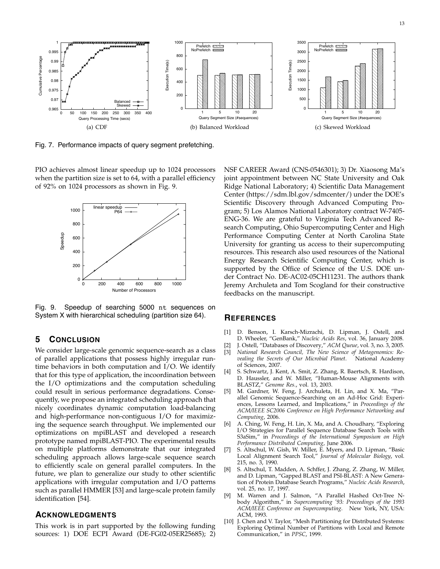

Fig. 7. Performance impacts of query segment prefetching.

PIO achieves almost linear speedup up to 1024 processors when the partition size is set to 64, with a parallel efficiency of 92% on 1024 processors as shown in Fig. 9.



Fig. 9. Speedup of searching 5000 nt sequences on System X with hierarchical scheduling (partition size 64).

# **5 CONCLUSION**

We consider large-scale genomic sequence-search as a class of parallel applications that possess highly irregular runtime behaviors in both computation and I/O. We identify that for this type of application, the incoordination between the I/O optimizations and the computation scheduling could result in serious performance degradations. Consequently, we propose an integrated scheduling approach that nicely coordinates dynamic computation load-balancing and high-performance non-contiguous I/O for maximizing the sequence search throughput. We implemented our optimizations on mpiBLAST and developed a research prototype named mpiBLAST-PIO. The experimental results on multiple platforms demonstrate that our integrated scheduling approach allows large-scale sequence search to efficiently scale on general parallel computers. In the future, we plan to generalize our study to other scientific applications with irregular computation and I/O patterns such as parallel HMMER [53] and large-scale protein family identification [54].

## **ACKNOWLEDGMENTS**

This work is in part supported by the following funding sources: 1) DOE ECPI Award (DE-FG02-05ER25685); 2)

NSF CAREER Award (CNS-0546301); 3) Dr. Xiaosong Ma's joint appointment between NC State University and Oak Ridge National Laboratory; 4) Scientific Data Management Center (https://sdm.lbl.gov/sdmcenter/) under the DOE's Scientific Discovery through Advanced Computing Program; 5) Los Alamos National Laboratory contract W-7405- ENG-36. We are grateful to Virginia Tech Advanced Research Computing, Ohio Supercomputing Center and High Performance Computing Center at North Carolina State University for granting us access to their supercomputing resources. This research also used resources of the National Energy Research Scientific Computing Center, which is supported by the Office of Science of the U.S. DOE under Contract No. DE-AC02-05CH11231. The authors thank Jeremy Archuleta and Tom Scogland for their constructive feedbacks on the manuscript.

## **REFERENCES**

- [1] D. Benson, I. Karsch-Mizrachi, D. Lipman, J. Ostell, and D. Wheeler, "GenBank," *Nucleic Acids Res*, vol. 36, January 2008.
- [2] J. Ostell, "Databases of Discovery," *ACM Queue*, vol. 3, no. 3, 2005.
- [3] *National Research Council, The New Science of Metagenomics: Revealing the Secrets of Our Microbial Planet*. National Academy of Sciences, 2007.
- [4] S. Schwartz, J. Kent, A. Smit, Z. Zhang, R. Baertsch, R. Hardison, D. Haussler, and W. Miller, "Human-Mouse Alignments with BLASTZ," *Genome Res.*, vol. 13, 2003.
- [5] M. Gardner, W. Feng, J. Archuleta, H. Lin, and X. Ma, "Parallel Genomic Sequence-Searching on an Ad-Hoc Grid: Experiences, Lessons Learned, and Implications," in *Proceedings of the ACM/IEEE SC2006 Conference on High Performance Networking and Computing*, 2006.
- [6] A. Ching, W. Feng, H. Lin, X. Ma, and A. Choudhary, "Exploring I/O Strategies for Parallel Sequence Database Search Tools with S3aSim," in *Proceedings of the International Symposium on High Performance Distributed Computing*, June 2006.
- [7] S. Altschul, W. Gish, W. Miller, E. Myers, and D. Lipman, "Basic Local Alignment Search Tool," *Journal of Molecular Biology*, vol. 215, no. 3, 1990.
- [8] S. Altschul, T. Madden, A. Schffer, J. Zhang, Z. Zhang, W. Miller, and D. Lipman, "Gapped BLAST and PSI-BLAST: A New Generation of Protein Database Search Programs," *Nucleic Acids Research*, vol. 25, no. 17, 1997.
- [9] M. Warren and J. Salmon, "A Parallel Hashed Oct-Tree Nbody Algorithm," in *Supercomputing '93: Proceedings of the 1993 ACM/IEEE Conference on Supercomputing*. New York, NY, USA: ACM, 1993.
- [10] J. Chen and V. Taylor, "Mesh Partitioning for Distributed Systems: Exploring Optimal Number of Partitions with Local and Remote Communication," in *PPSC*, 1999.